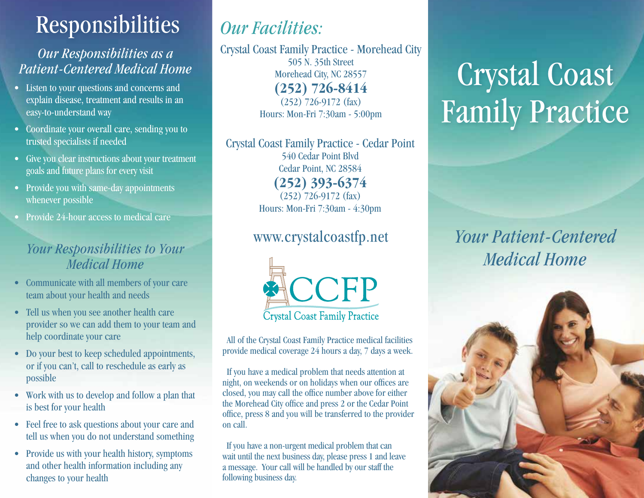# Responsibilities

### *Our Responsibilities as a Patient-Centered Medical Home*

- Listen to your questions and concerns and explain disease, treatment and results in an easy-to-understand way
- Coordinate your overall care, sending you to trusted specialists if needed
- Give you clear instructions about your treatment goals and future plans for every visit
- Provide you with same-day appointments whenever possible
- Provide 24-hour access to medical care

### *Your Responsibilities to Your Medical Home*

- Communicate with all members of your care team about your health and needs
- Tell us when you see another health care provider so we can add them to your team and help coordinate your care
- Do your best to keep scheduled appointments, or if you can't, call to reschedule as early as possible
- Work with us to develop and follow a plan that is best for your health
- Feel free to ask questions about your care and tell us when you do not understand something
- Provide us with your health history, symptoms and other health information including any changes to your health

## *Our Facilities:*

Crystal Coast Family Practice - Morehead City 505 N. 35th Street Morehead City, NC 28557 **(252) 726-8414** (252) 726-9172 (fax) Hours: Mon-Fri 7:30am - 5:00pm

Crystal Coast Family Practice - Cedar Point 540 Cedar Point Blvd Cedar Point, NC 28584 **(252) 393-6374** (252) 726-9172 (fax) Hours: Mon-Fri 7:30am - 4:30pm

### www.crystalcoastfp.net



All of the Crystal Coast Family Practice medical facilities provide medical coverage 24 hours a day, 7 days a week.

 If you have a medical problem that needs attention at night, on weekends or on holidays when our offices are closed, you may call the office number above for either the Morehead City office and press 2 or the Cedar Point office, press 8 and you will be transferred to the provider on call.

 If you have a non-urgent medical problem that can wait until the next business day, please press 1 and leave a message. Your call will be handled by our staff the following business day.

# Crystal Coast Family Practice

*Your Patient-Centered Medical Home*